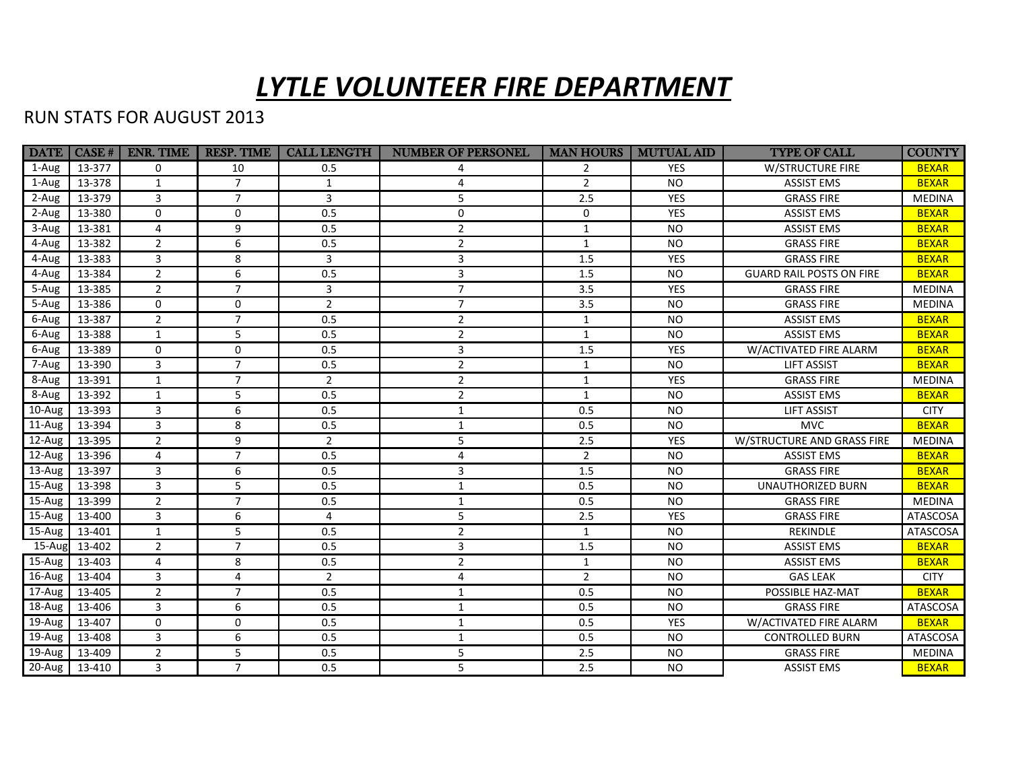## *LYTLE VOLUNTEER FIRE DEPARTMENT*

## RUN STATS FOR AUGUST 2013

| <b>DATE</b> | $ $ CASE # $ $ | ENR. TIME      | <b>RESP. TIME</b> | <b>CALL LENGTH</b> | <b>NUMBER OF PERSONEL</b> | <b>MAN HOURS</b> | <b>MUTUAL AID</b> | <b>TYPE OF CALL</b>             | <b>COUNTY</b> |
|-------------|----------------|----------------|-------------------|--------------------|---------------------------|------------------|-------------------|---------------------------------|---------------|
| 1-Aug       | 13-377         | $\Omega$       | 10                | 0.5                |                           | $\mathcal{P}$    | <b>YES</b>        | <b>W/STRUCTURE FIRE</b>         | <b>BEXAR</b>  |
| 1-Aug       | 13-378         | 1              | $\overline{7}$    | $\mathbf{1}$       | 4                         | $\overline{2}$   | <b>NO</b>         | <b>ASSIST EMS</b>               | <b>BEXAR</b>  |
| 2-Aug       | 13-379         | $\overline{3}$ | $\overline{7}$    | 3                  | 5                         | 2.5              | <b>YES</b>        | <b>GRASS FIRE</b>               | <b>MEDINA</b> |
| 2-Aug       | 13-380         | $\mathbf 0$    | 0                 | 0.5                | 0                         | $\mathbf 0$      | <b>YES</b>        | <b>ASSIST EMS</b>               | <b>BEXAR</b>  |
| 3-Aug       | 13-381         | 4              | 9                 | 0.5                | $\overline{2}$            | $\mathbf{1}$     | <b>NO</b>         | <b>ASSIST EMS</b>               | <b>BEXAR</b>  |
| 4-Aug       | 13-382         | $\overline{2}$ | 6                 | 0.5                | $\overline{2}$            | 1                | <b>NO</b>         | <b>GRASS FIRE</b>               | <b>BEXAR</b>  |
| 4-Aug       | 13-383         | 3              | 8                 | 3                  | 3                         | 1.5              | <b>YES</b>        | <b>GRASS FIRE</b>               | <b>BEXAR</b>  |
| 4-Aug       | 13-384         | $\overline{2}$ | 6                 | 0.5                | 3                         | 1.5              | <b>NO</b>         | <b>GUARD RAIL POSTS ON FIRE</b> | <b>BEXAR</b>  |
| 5-Aug       | 13-385         | 2              | $\overline{7}$    | 3                  | $\overline{7}$            | 3.5              | YES               | <b>GRASS FIRE</b>               | <b>MEDINA</b> |
| 5-Aug       | 13-386         | $\mathbf 0$    | 0                 | $\overline{2}$     | $\overline{7}$            | 3.5              | <b>NO</b>         | <b>GRASS FIRE</b>               | <b>MEDINA</b> |
| 6-Aug       | 13-387         | $\overline{2}$ | $\overline{7}$    | 0.5                | $\overline{2}$            | $\mathbf{1}$     | <b>NO</b>         | <b>ASSIST EMS</b>               | <b>BEXAR</b>  |
| 6-Aug       | 13-388         | 1              | 5                 | 0.5                | $\overline{2}$            | 1                | <b>NO</b>         | <b>ASSIST EMS</b>               | <b>BEXAR</b>  |
| 6-Aug       | 13-389         | $\mathbf 0$    | $\mathbf 0$       | 0.5                | 3                         | $1.5\,$          | YES               | W/ACTIVATED FIRE ALARM          | <b>BEXAR</b>  |
| 7-Aug       | 13-390         | 3              | $\overline{7}$    | 0.5                | $\overline{2}$            | 1                | <b>NO</b>         | <b>LIFT ASSIST</b>              | <b>BEXAR</b>  |
| 8-Aug       | 13-391         | $\mathbf{1}$   | $\overline{7}$    | $\overline{2}$     | $\overline{2}$            | $\mathbf{1}$     | YES               | <b>GRASS FIRE</b>               | <b>MEDINA</b> |
| 8-Aug       | 13-392         | $\mathbf{1}$   | 5                 | 0.5                | $\overline{2}$            | $\mathbf{1}$     | <b>NO</b>         | <b>ASSIST EMS</b>               | <b>BEXAR</b>  |
| 10-Aug      | 13-393         | 3              | 6                 | 0.5                | $\mathbf{1}$              | 0.5              | <b>NO</b>         | <b>LIFT ASSIST</b>              | <b>CITY</b>   |
| 11-Aug      | 13-394         | 3              | 8                 | 0.5                | $\mathbf{1}$              | 0.5              | <b>NO</b>         | <b>MVC</b>                      | <b>BEXAR</b>  |
| 12-Aug      | 13-395         | $\overline{2}$ | 9                 | $\overline{2}$     | 5                         | 2.5              | <b>YES</b>        | W/STRUCTURE AND GRASS FIRE      | <b>MEDINA</b> |
| 12-Aug      | 13-396         | 4              | $\overline{7}$    | 0.5                | 4                         | $\overline{2}$   | <b>NO</b>         | <b>ASSIST EMS</b>               | <b>BEXAR</b>  |
| 13-Aug      | 13-397         | 3              | 6                 | 0.5                | 3                         | 1.5              | <b>NO</b>         | <b>GRASS FIRE</b>               | <b>BEXAR</b>  |
| 15-Aug      | 13-398         | 3              | 5                 | 0.5                | $\mathbf{1}$              | 0.5              | <b>NO</b>         | UNAUTHORIZED BURN               | <b>BEXAR</b>  |
| 15-Aug      | 13-399         | $\overline{2}$ | $\overline{7}$    | 0.5                | $\mathbf{1}$              | 0.5              | <b>NO</b>         | <b>GRASS FIRE</b>               | <b>MEDINA</b> |
| 15-Aug      | 13-400         | 3              | 6                 | $\overline{4}$     | 5                         | 2.5              | YES               | <b>GRASS FIRE</b>               | ATASCOSA      |
| 15-Aug      | 13-401         | 1              | 5                 | 0.5                | $\overline{2}$            | 1                | <b>NO</b>         | REKINDLE                        | ATASCOSA      |
| $15 - Aug$  | 13-402         | $\overline{2}$ | $\overline{7}$    | 0.5                | 3                         | 1.5              | <b>NO</b>         | <b>ASSIST EMS</b>               | <b>BEXAR</b>  |
| 15-Aug      | 13-403         | 4              | 8                 | 0.5                | $\overline{2}$            | $\mathbf{1}$     | <b>NO</b>         | <b>ASSIST EMS</b>               | <b>BEXAR</b>  |
| 16-Aug      | 13-404         | 3              | 4                 | $\overline{2}$     | 4                         | $\overline{2}$   | <b>NO</b>         | <b>GAS LEAK</b>                 | <b>CITY</b>   |
| 17-Aug      | 13-405         | $\overline{2}$ | $\overline{7}$    | 0.5                | 1                         | 0.5              | <b>NO</b>         | POSSIBLE HAZ-MAT                | <b>BEXAR</b>  |
| 18-Aug      | 13-406         | 3              | 6                 | 0.5                | $\mathbf{1}$              | 0.5              | <b>NO</b>         | <b>GRASS FIRE</b>               | ATASCOSA      |
| 19-Aug      | 13-407         | $\mathbf 0$    | 0                 | 0.5                | $\mathbf{1}$              | 0.5              | YES               | W/ACTIVATED FIRE ALARM          | <b>BEXAR</b>  |
| 19-Aug      | 13-408         | 3              | 6                 | 0.5                | $\mathbf{1}$              | 0.5              | <b>NO</b>         | <b>CONTROLLED BURN</b>          | ATASCOSA      |
| 19-Aug      | 13-409         | $\overline{2}$ | 5                 | 0.5                | 5                         | 2.5              | <b>NO</b>         | <b>GRASS FIRE</b>               | <b>MEDINA</b> |
| 20-Aug      | 13-410         | 3              | $\overline{7}$    | 0.5                | 5                         | 2.5              | <b>NO</b>         | <b>ASSIST EMS</b>               | <b>BEXAR</b>  |